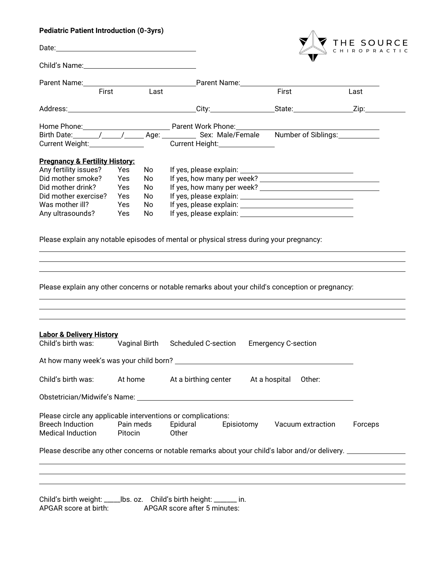### **Pediatric Patient Introduction (0-3yrs)**

|                                                                                                                     |                      |                               | THE SOURCE                                                                                                                                                                                  |
|---------------------------------------------------------------------------------------------------------------------|----------------------|-------------------------------|---------------------------------------------------------------------------------------------------------------------------------------------------------------------------------------------|
| Child's Name: 1997                                                                                                  |                      |                               |                                                                                                                                                                                             |
|                                                                                                                     |                      |                               |                                                                                                                                                                                             |
| First                                                                                                               |                      | $\overline{\phantom{a}}$ Last | First<br>Last                                                                                                                                                                               |
|                                                                                                                     |                      |                               |                                                                                                                                                                                             |
|                                                                                                                     |                      |                               |                                                                                                                                                                                             |
|                                                                                                                     |                      |                               | Birth Date: _______/______/______Age: _____________ Sex: Male/Female Number of Siblings: __________                                                                                         |
| Current Weight: Current Weight:                                                                                     |                      |                               | Current Height: Current Height:                                                                                                                                                             |
| <b>Pregnancy &amp; Fertility History:</b>                                                                           |                      |                               |                                                                                                                                                                                             |
| Any fertility issues?                                                                                               | Yes                  | No                            |                                                                                                                                                                                             |
| Did mother smoke?                                                                                                   | Yes                  | No                            |                                                                                                                                                                                             |
| Did mother drink?                                                                                                   | Yes                  | No                            |                                                                                                                                                                                             |
| Did mother exercise?                                                                                                | Yes                  | No                            |                                                                                                                                                                                             |
| Was mother ill?                                                                                                     | Yes                  | No                            |                                                                                                                                                                                             |
| Any ultrasounds?                                                                                                    | Yes                  | No                            | If yes, please explain: Notice of the set of yes, and yes are set of yes and yes                                                                                                            |
|                                                                                                                     |                      |                               | Please explain any notable episodes of mental or physical stress during your pregnancy:<br>Please explain any other concerns or notable remarks about your child's conception or pregnancy: |
|                                                                                                                     |                      |                               |                                                                                                                                                                                             |
|                                                                                                                     |                      |                               | Child's birth was: Vaginal Birth Scheduled C-section Emergency C-section                                                                                                                    |
|                                                                                                                     |                      |                               |                                                                                                                                                                                             |
|                                                                                                                     | At home              |                               | At a birthing center At a hospital<br>Other:                                                                                                                                                |
| <b>Labor &amp; Delivery History</b><br>Child's birth was:                                                           |                      |                               |                                                                                                                                                                                             |
| Please circle any applicable interventions or complications:<br><b>Breech Induction</b><br><b>Medical Induction</b> | Pain meds<br>Pitocin |                               | Epidural<br>Episiotomy Vacuum extraction<br>Forceps<br>Other                                                                                                                                |

APGAR score at birth: APGAR score after 5 minutes: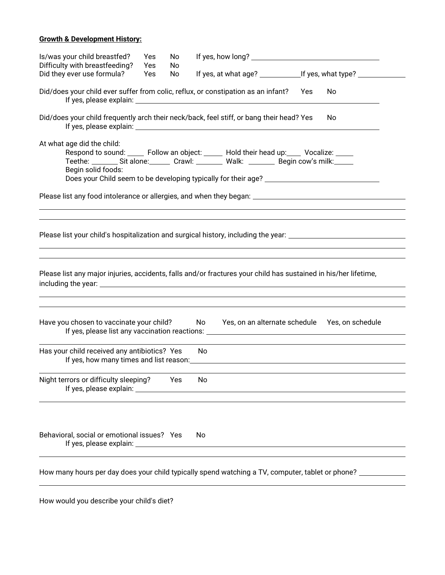#### **Growth & Development History:**

| Is/was your child breastfed?<br>Difficulty with breastfeeding?                                                                                                                                                                                | Yes<br>Yes | No<br>No. |     |                                                                                  |     |                  |  |
|-----------------------------------------------------------------------------------------------------------------------------------------------------------------------------------------------------------------------------------------------|------------|-----------|-----|----------------------------------------------------------------------------------|-----|------------------|--|
| Did they ever use formula?                                                                                                                                                                                                                    | Yes        | No        |     | If yes, at what age? ________________________If yes, what type? ________________ |     |                  |  |
| Did/does your child ever suffer from colic, reflux, or constipation as an infant?                                                                                                                                                             |            |           |     |                                                                                  | Yes | No               |  |
| Did/does your child frequently arch their neck/back, feel stiff, or bang their head? Yes                                                                                                                                                      |            |           |     |                                                                                  |     | No               |  |
| At what age did the child:<br>Respond to sound: _____ Follow an object: _____ Hold their head up: ___ Vocalize: ____<br>Teethe: _________ Sit alone: ________ Crawl: _________ Walk: _________ Begin cow's milk: ______<br>Begin solid foods: |            |           |     |                                                                                  |     |                  |  |
| Please list any food intolerance or allergies, and when they began: ________________________________                                                                                                                                          |            |           |     |                                                                                  |     |                  |  |
| Please list your child's hospitalization and surgical history, including the year: ___________________________                                                                                                                                |            |           |     |                                                                                  |     |                  |  |
| Please list any major injuries, accidents, falls and/or fractures your child has sustained in his/her lifetime,                                                                                                                               |            |           |     |                                                                                  |     |                  |  |
| Have you chosen to vaccinate your child? No Yes, on an alternate schedule                                                                                                                                                                     |            |           |     |                                                                                  |     | Yes, on schedule |  |
| Has your child received any antibiotics? Yes                                                                                                                                                                                                  |            |           | No. |                                                                                  |     |                  |  |
| Night terrors or difficulty sleeping?                                                                                                                                                                                                         |            | Yes       | No  |                                                                                  |     |                  |  |
| Behavioral, social or emotional issues? Yes                                                                                                                                                                                                   |            |           | No. |                                                                                  |     |                  |  |
| How many hours per day does your child typically spend watching a TV, computer, tablet or phone? _____________                                                                                                                                |            |           |     |                                                                                  |     |                  |  |

How would you describe your child's diet?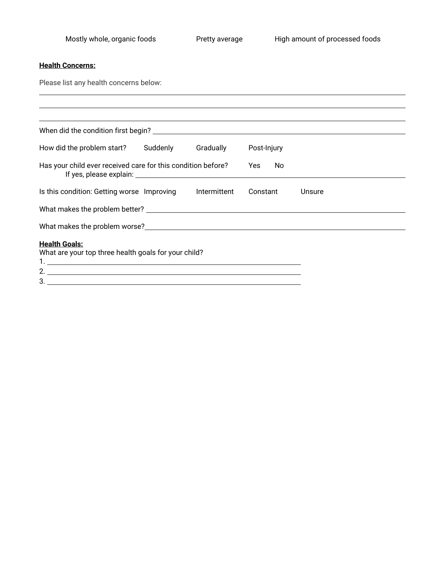## **Health Concerns:**

Please list any health concerns below:

| Post-Injury                 |
|-----------------------------|
| No.<br>Yes.                 |
| Constant<br>Unsure          |
|                             |
|                             |
| 2. $\overline{\phantom{a}}$ |
|                             |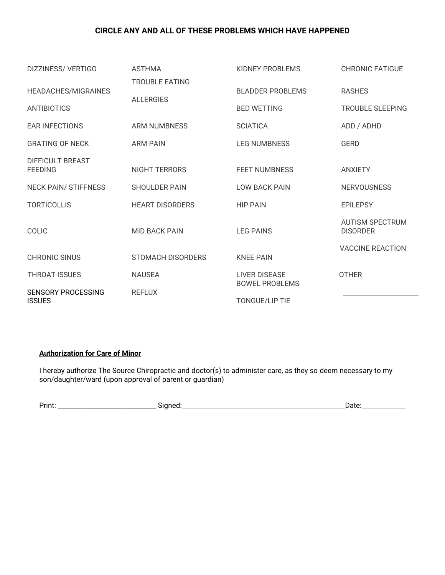### **CIRCLE ANY AND ALL OF THESE PROBLEMS WHICH HAVE HAPPENED**

| DIZZINESS/VERTIGO                  | <b>ASTHMA</b>                             | KIDNEY PROBLEMS                               | <b>CHRONIC FATIGUE</b>                    |
|------------------------------------|-------------------------------------------|-----------------------------------------------|-------------------------------------------|
| HEADACHES/MIGRAINES<br>ANTIBIOTICS | <b>TROUBLE EATING</b><br><b>ALLERGIES</b> | <b>BLADDER PROBLEMS</b><br><b>BED WETTING</b> | <b>RASHES</b><br><b>TROUBLE SLEEPING</b>  |
| <b>EAR INFECTIONS</b>              | <b>ARM NUMBNESS</b>                       | <b>SCIATICA</b>                               | ADD / ADHD                                |
| <b>GRATING OF NECK</b>             | <b>ARM PAIN</b>                           | <b>LEG NUMBNESS</b>                           | <b>GERD</b>                               |
| DIFFICULT BREAST<br><b>FEEDING</b> | <b>NIGHT TERRORS</b>                      | <b>FEET NUMBNESS</b>                          | <b>ANXIETY</b>                            |
| <b>NECK PAIN/ STIFFNESS</b>        | <b>SHOULDER PAIN</b>                      | <b>LOW BACK PAIN</b>                          | <b>NERVOUSNESS</b>                        |
| <b>TORTICOLLIS</b>                 | <b>HEART DISORDERS</b>                    | <b>HIP PAIN</b>                               | <b>EPILEPSY</b>                           |
| <b>COLIC</b>                       | <b>MID BACK PAIN</b>                      | <b>LEG PAINS</b>                              | <b>AUTISM SPECTRUM</b><br><b>DISORDER</b> |
| <b>CHRONIC SINUS</b>               | STOMACH DISORDERS                         | <b>KNEE PAIN</b>                              | <b>VACCINE REACTION</b>                   |
| <b>THROAT ISSUES</b>               | <b>NAUSEA</b>                             | <b>LIVER DISEASE</b>                          | OTHER                                     |
| <b>SENSORY PROCESSING</b>          | <b>REFLUX</b>                             | <b>BOWEL PROBLEMS</b>                         |                                           |
| <b>ISSUES</b>                      |                                           | <b>TONGUE/LIP TIE</b>                         |                                           |

 $\mathbb{R}^2$ 

#### **Authorization for Care of Minor**

I hereby authorize The Source Chiropractic and doctor(s) to administer care, as they so deem necessary to my son/daughter/ward (upon approval of parent or guardian)

| Print. | ---- - -<br>ыше<br>∼ | 1010<br>July. |
|--------|----------------------|---------------|
|        |                      |               |